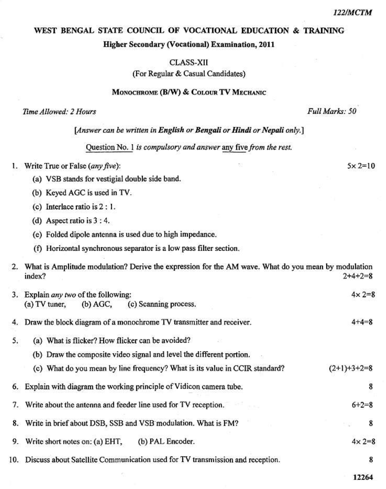$5 \times 2 = 10$ 

## WEST BENGAL STATE COUNCIL OF VOCATIONAL EDUCATION & TRAINING

### Higher Secondary (Vocational) Examination, 2011

**CLASS-XII** (For Regular & Casual Candidates)

#### MONOCHROME (B/W) & COLOUR TV MECHANIC

#### Time Allowed: 2 Hours

Full Marks: 50

[Answer can be written in English or Bengali or Hindi or Nepali only.]

Question No. 1 is compulsory and answer any five from the rest.

|  | Write True or False (any five): |  |  |
|--|---------------------------------|--|--|
|  |                                 |  |  |

- (a) VSB stands for vestigial double side band.
- (b) Keyed AGC is used in TV.
- (c) Interlace ratio is 2 : 1.
- (d) Aspect ratio is  $3:4$ .
- (e) Folded dipole antenna is used due to high impedance.
- (f) Horizontal synchronous separator is a low pass filter section.

|     | 2. What is Amplitude modulation? Derive the expression for the AM wave. What do you mean by modulation<br>index? | $2+4+2=8$        |
|-----|------------------------------------------------------------------------------------------------------------------|------------------|
| 3.  | Explain any two of the following:<br>(c) Scanning process.<br>$(a) TV$ tuner,<br>(b) AGC,                        | $4 \times 2 = 8$ |
| 4.  | Draw the block diagram of a monochrome TV transmitter and receiver.                                              | $4 + 4 = 8$      |
| 5.  | (a) What is flicker? How flicker can be avoided?                                                                 |                  |
|     | (b) Draw the composite video signal and level the different portion.                                             |                  |
|     | (c) What do you mean by line frequency? What is its value in CCIR standard?                                      | $(2+1)+3+2=8$    |
|     | 6. Explain with diagram the working principle of Vidicon camera tube.                                            | 8                |
| 7.  | Write about the antenna and feeder line used for TV reception.                                                   | $6 + 2 = 8$      |
|     | 8. Write in brief about DSB, SSB and VSB modulation. What is FM?                                                 | 8                |
| 9.  | (b) PAL Encoder.<br>Write short notes on: (a) EHT,                                                               | $4 \times 2 = 8$ |
| 10. | Discuss about Satellite Communication used for TV transmission and reception.                                    | 8                |

12264